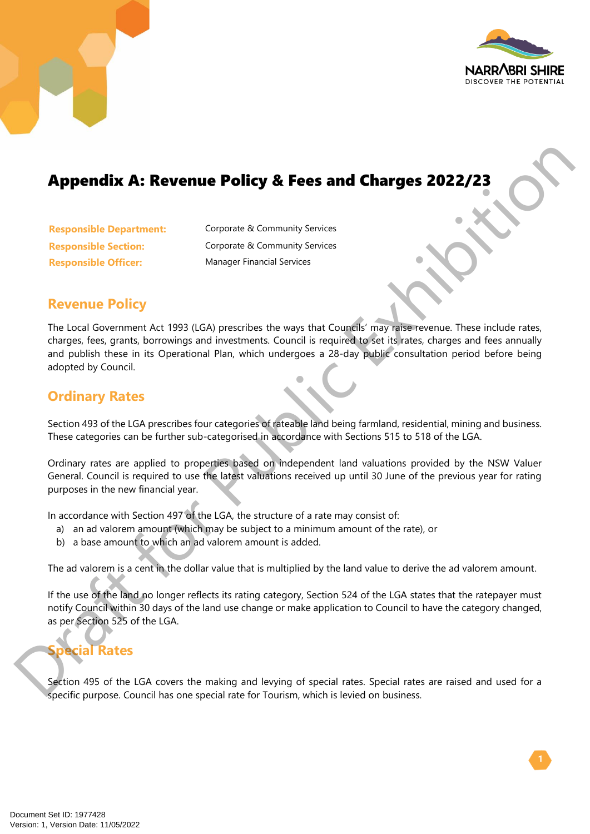

# Appendix A: Revenue Policy & Fees and Charges 2022/23

**Responsible Officer:** Manager Financial Services

**Responsible Department:** Corporate & Community Services **Responsible Section:** Corporate & Community Services

## **Revenue Policy**

The Local Government Act 1993 (LGA) prescribes the ways that Councils' may raise revenue. These include rates, charges, fees, grants, borrowings and investments. Council is required to set its rates, charges and fees annually and publish these in its Operational Plan, which undergoes a 28-day public consultation period before being adopted by Council. **A: Revenue Policy & Fees and Charges 2022/23**<br> **Exhibition:**<br>
Corporate & Community Services<br>
Comporate & Community Services<br>
Manager Financial Services<br>
Manager Financial Services<br>
There include rates,<br>
this Deperational

### **Ordinary Rates**

Section 493 of the LGA prescribes four categories of rateable land being farmland, residential, mining and business. These categories can be further sub-categorised in accordance with Sections 515 to 518 of the LGA.

Ordinary rates are applied to properties based on independent land valuations provided by the NSW Valuer General. Council is required to use the latest valuations received up until 30 June of the previous year for rating purposes in the new financial year.

In accordance with Section 497 of the LGA, the structure of a rate may consist of:

- a) an ad valorem amount (which may be subject to a minimum amount of the rate), or
- b) a base amount to which an ad valorem amount is added.

The ad valorem is a cent in the dollar value that is multiplied by the land value to derive the ad valorem amount.

If the use of the land no longer reflects its rating category, Section 524 of the LGA states that the ratepayer must notify Council within 30 days of the land use change or make application to Council to have the category changed, as per Section 525 of the LGA. The ad valorem is a cent in<br>
If the use of the land no lo<br>
notify Council within 30 da<br>
as per Section 525 of the I<br>
Special Rates<br>
Section 495 of the LGA c

# **Special Rates**

Section 495 of the LGA covers the making and levying of special rates. Special rates are raised and used for a specific purpose. Council has one special rate for Tourism, which is levied on business.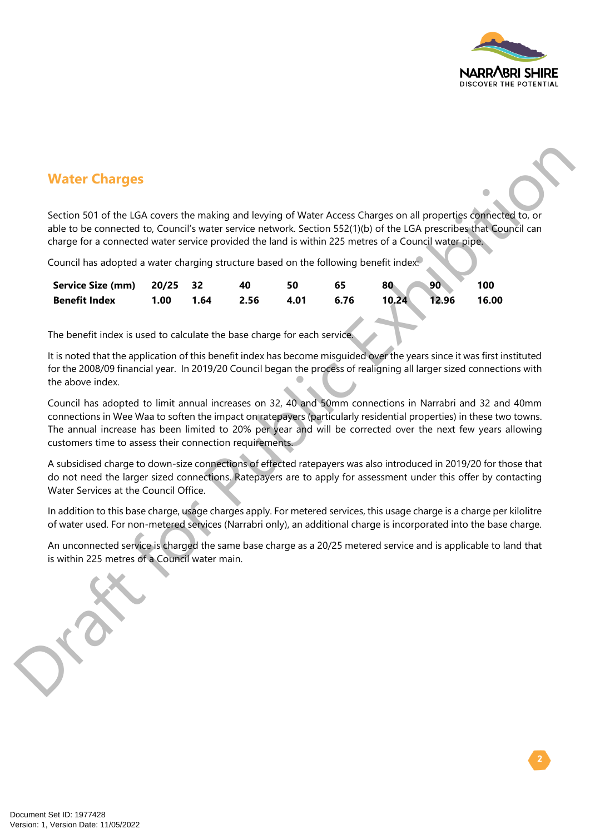

# **Water Charges**

Section 501 of the LGA covers the making and levying of Water Access Charges on all properties connected to, or able to be connected to, Council's water service network. Section 552(1)(b) of the LGA prescribes that Council can charge for a connected water service provided the land is within 225 metres of a Council water pipe.

Council has adopted a water charging structure based on the following benefit index:

| Service Size (mm) 20/25 32 |      |                    | 40 |  | 40 50 65 80 90 100<br>2.56 4.01 6.76 10.24 12.96 16.00 |  |
|----------------------------|------|--------------------|----|--|--------------------------------------------------------|--|
| <b>Benefit Index</b>       | 1.00 | $\sim$ 1.64 $\sim$ |    |  |                                                        |  |

The benefit index is used to calculate the base charge for each service.

It is noted that the application of this benefit index has become misguided over the years since it was first instituted for the 2008/09 financial year. In 2019/20 Council began the process of realigning all larger sized connections with the above index.

Council has adopted to limit annual increases on 32, 40 and 50mm connections in Narrabri and 32 and 40mm connections in Wee Waa to soften the impact on ratepayers (particularly residential properties) in these two towns. The annual increase has been limited to 20% per year and will be corrected over the next few years allowing customers time to assess their connection requirements. Water Charges<br>
Schien 501 of the LGA covers the making and levying of Water Access Charges on all properties the schience of<br>
schience to a connected so Council were service metods. Section 552 (106) of the CA prescribes

A subsidised charge to down-size connections of effected ratepayers was also introduced in 2019/20 for those that do not need the larger sized connections. Ratepayers are to apply for assessment under this offer by contacting Water Services at the Council Office.

In addition to this base charge, usage charges apply. For metered services, this usage charge is a charge per kilolitre of water used. For non-metered services (Narrabri only), an additional charge is incorporated into the base charge.

An unconnected service is charged the same base charge as a 20/25 metered service and is applicable to land that is within 225 metres of a Council water main.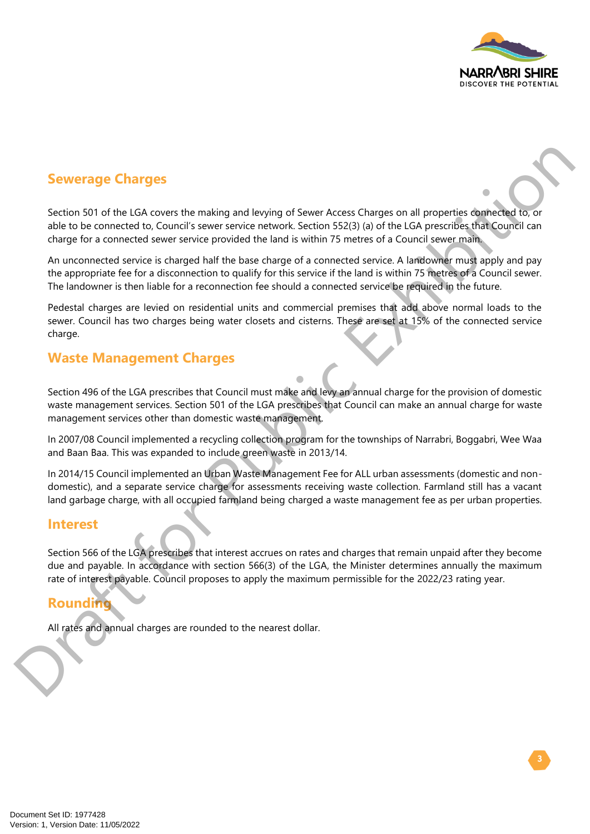

# **Sewerage Charges**

Section 501 of the LGA covers the making and levying of Sewer Access Charges on all properties connected to, or able to be connected to, Council's sewer service network. Section 552(3) (a) of the LGA prescribes that Council can charge for a connected sewer service provided the land is within 75 metres of a Council sewer main.

An unconnected service is charged half the base charge of a connected service. A landowner must apply and pay the appropriate fee for a disconnection to qualify for this service if the land is within 75 metres of a Council sewer. The landowner is then liable for a reconnection fee should a connected service be required in the future.

Pedestal charges are levied on residential units and commercial premises that add above normal loads to the sewer. Council has two charges being water closets and cisterns. These are set at 15% of the connected service charge.

# **Waste Management Charges**

Section 496 of the LGA prescribes that Council must make and levy an annual charge for the provision of domestic waste management services. Section 501 of the LGA prescribes that Council can make an annual charge for waste management services other than domestic waste management.

In 2007/08 Council implemented a recycling collection program for the townships of Narrabri, Boggabri, Wee Waa and Baan Baa. This was expanded to include green waste in 2013/14.

In 2014/15 Council implemented an Urban Waste Management Fee for ALL urban assessments (domestic and nondomestic), and a separate service charge for assessments receiving waste collection. Farmland still has a vacant land garbage charge, with all occupied farmland being charged a waste management fee as per urban properties.

### **Interest**

Section 566 of the LGA prescribes that interest accrues on rates and charges that remain unpaid after they become due and payable. In accordance with section 566(3) of the LGA, the Minister determines annually the maximum rate of interest payable. Council proposes to apply the maximum permissible for the 2022/23 rating year. **Serverage Charges**<br>
Setures of of the LGA cover the making and levying of Sever Access Charges on all properties oppreciates and<br>
able to be connected to, council's sever service provided the land is within 75 metres of

### **Rounding**

All rates and annual charges are rounded to the nearest dollar.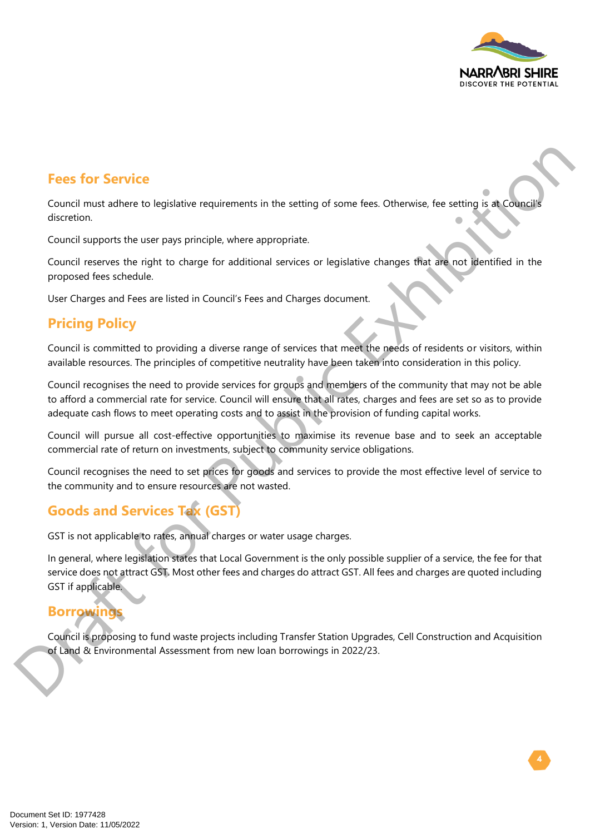

# **Fees for Service**

Council must adhere to legislative requirements in the setting of some fees. Otherwise, fee setting is at Council discretion.

Council supports the user pays principle, where appropriate.

Council reserves the right to charge for additional services or legislative changes that are not identified in the proposed fees schedule.

User Charges and Fees are listed in Council's Fees and Charges document.

# **Pricing Policy**

Council is committed to providing a diverse range of services that meet the needs of residents or visitors, within available resources. The principles of competitive neutrality have been taken into consideration in this policy.

Council recognises the need to provide services for groups and members of the community that may not be able to afford a commercial rate for service. Council will ensure that all rates, charges and fees are set so as to provide adequate cash flows to meet operating costs and to assist in the provision of funding capital works.

Council will pursue all cost-effective opportunities to maximise its revenue base and to seek an acceptable commercial rate of return on investments, subject to community service obligations.

Council recognises the need to set prices for goods and services to provide the most effective level of service to the community and to ensure resources are not wasted.

# **Goods and Services Tax (GST)**

GST is not applicable to rates, annual charges or water usage charges.

In general, where legislation states that Local Government is the only possible supplier of a service, the fee for that service does not attract GST. Most other fees and charges do attract GST. All fees and charges are quoted including GST if applicable. **Fees for Service**<br>
Council must adhere to legislative requirements in the setting of some fees. Otherwise, fee setting is at Collage<br>
discretion.<br>
Council supports the user pays principle, where appropriate.<br>
Council supp

### **Borrowings**

Council is proposing to fund waste projects including Transfer Station Upgrades, Cell Construction and Acquisition of Land & Environmental Assessment from new loan borrowings in 2022/23.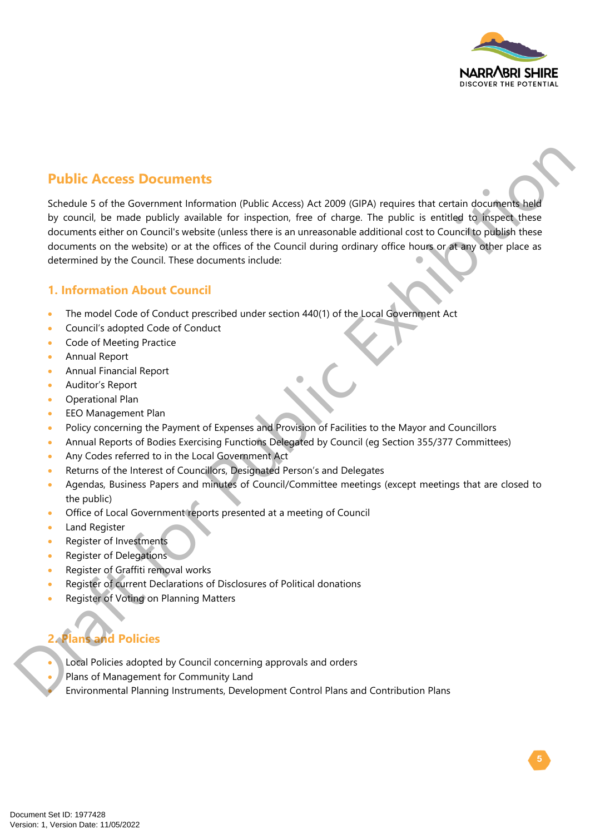

# **Public Access Documents**

Schedule 5 of the Government Information (Public Access) Act 2009 (GIPA) requires that certain documents held by council, be made publicly available for inspection, free of charge. The public is entitled to inspect these documents either on Council's website (unless there is an unreasonable additional cost to Council to publish these documents on the website) or at the offices of the Council during ordinary office hours or at any other place as determined by the Council. These documents include: **SOCUT EXECTS CONTRANT CONTRANT CONTRANT CONTRANT CONTRANT CONTRANT CONTRANT CONTRANT CONTRANT CONTRANT CONTRANT CONTRANT CONTRANT CONTRANT CONTRANT CONTRANT CONTRANT CONTRANT CONTRANT CONTRANT CONTRANT CONTRANT CONTRANT C** 

### **1. Information About Council**

- The model Code of Conduct prescribed under section 440(1) of the Local Government Act
- Council's adopted Code of Conduct
- Code of Meeting Practice
- Annual Report
- Annual Financial Report
- Auditor's Report
- Operational Plan
- EEO Management Plan
- Policy concerning the Payment of Expenses and Provision of Facilities to the Mayor and Councillors
- Annual Reports of Bodies Exercising Functions Delegated by Council (eg Section 355/377 Committees)
- Any Codes referred to in the Local Government Act
- Returns of the Interest of Councillors, Designated Person's and Delegates
- Agendas, Business Papers and minutes of Council/Committee meetings (except meetings that are closed to the public)
- Office of Local Government reports presented at a meeting of Council
- Land Register
- Register of Investments
- Register of Delegations
- Register of Graffiti removal works
- Register of current Declarations of Disclosures of Political donations
- Register of Voting on Planning Matters

# **2. Plans and Policies**

- Local Policies adopted by Council concerning approvals and orders
- Plans of Management for Community Land
- Register of Graffiti removal works<br>• Register of current Declarations of Disclosures of Political donations<br>• Register of Voting on Planning Matters<br>• Local Policies<br>• Local Policies adopted by Council concerning approva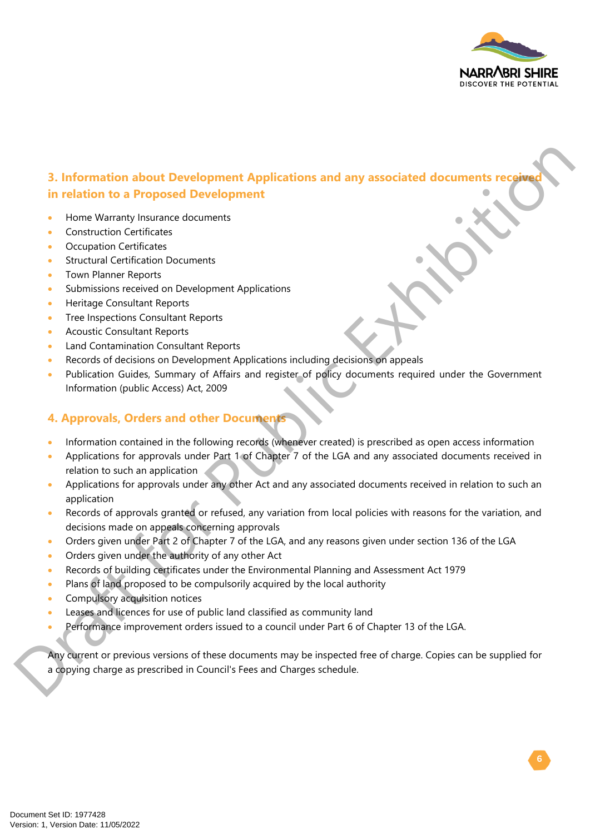

# **3. Information about Development Applications and any associated documents rec in relation to a Proposed Development 3. Information about Development Applications and any associated documents received<br>
in relation to a Proposed Development<br>
• Home Warrany Insurance documents<br>
• Consulter Certificates<br>
• Consulter Certificates<br>
• Consul**

- Home Warranty Insurance documents
- Construction Certificates
- Occupation Certificates
- **Structural Certification Documents**
- Town Planner Reports
- Submissions received on Development Applications
- Heritage Consultant Reports
- Tree Inspections Consultant Reports
- Acoustic Consultant Reports
- Land Contamination Consultant Reports
- Records of decisions on Development Applications including decisions on appeals
- Publication Guides, Summary of Affairs and register of policy documents required under the Government Information (public Access) Act, 2009

### **4. Approvals, Orders and other Documents**

- Information contained in the following records (whenever created) is prescribed as open access information
- Applications for approvals under Part 1 of Chapter 7 of the LGA and any associated documents received in relation to such an application
- Applications for approvals under any other Act and any associated documents received in relation to such an application
- Records of approvals granted or refused, any variation from local policies with reasons for the variation, and decisions made on appeals concerning approvals
- Orders given under Part 2 of Chapter 7 of the LGA, and any reasons given under section 136 of the LGA
- Orders given under the authority of any other Act
- Records of building certificates under the Environmental Planning and Assessment Act 1979
- Plans of land proposed to be compulsorily acquired by the local authority
- Compulsory acquisition notices
- Leases and licences for use of public land classified as community land
- Performance improvement orders issued to a council under Part 6 of Chapter 13 of the LGA.

Any current or previous versions of these documents may be inspected free of charge. Copies can be supplied for a copying charge as prescribed in Council's Fees and Charges schedule.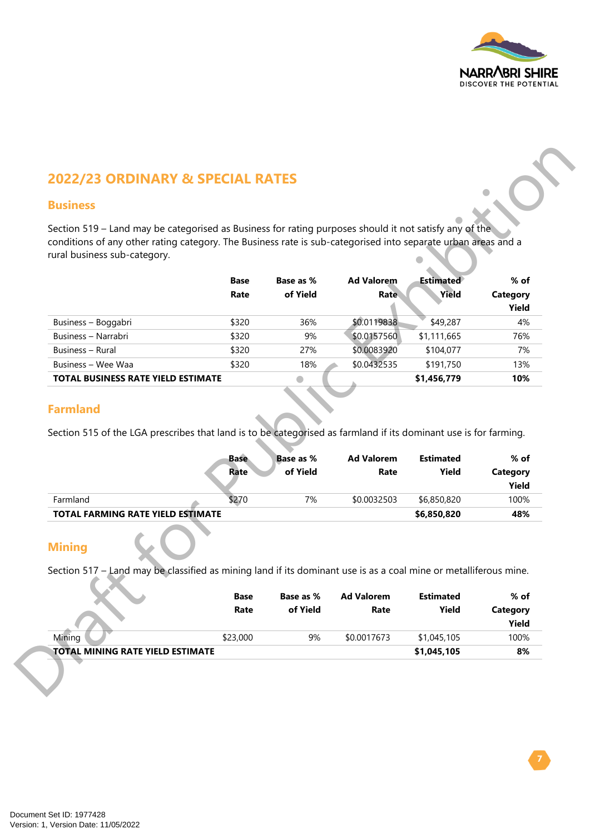

# **2022/23 ORDINARY & SPECIAL RATES**

### **Business**

| <b>Business</b>                                                                                                                                                                  |             |           |                   |                  |                   |
|----------------------------------------------------------------------------------------------------------------------------------------------------------------------------------|-------------|-----------|-------------------|------------------|-------------------|
| Section 519 - Land may be categorised as Business for rating purposes should it not satisfy any of the                                                                           |             |           |                   |                  |                   |
| conditions of any other rating category. The Business rate is sub-categorised into separate urban areas and a                                                                    |             |           |                   |                  |                   |
| rural business sub-category.                                                                                                                                                     |             |           |                   |                  |                   |
|                                                                                                                                                                                  | <b>Base</b> | Base as % | <b>Ad Valorem</b> | <b>Estimated</b> | $%$ of            |
|                                                                                                                                                                                  | Rate        | of Yield  | Rate              | Yield            | Category          |
|                                                                                                                                                                                  |             |           |                   |                  | Yield             |
| Business - Boggabri                                                                                                                                                              | \$320       | 36%       | \$0.0119838       | \$49,287         | 4%                |
| Business - Narrabri                                                                                                                                                              | \$320       | 9%        | \$0.0157560       | \$1,111,665      | 76%               |
| Business - Rural                                                                                                                                                                 | \$320       | 27%       | \$0.0083920       | \$104,077        | 7%                |
| Business - Wee Waa                                                                                                                                                               | \$320       | 18%       | \$0.0432535       | \$191,750        | 13%               |
|                                                                                                                                                                                  |             |           |                   |                  |                   |
| <b>TOTAL BUSINESS RATE YIELD ESTIMATE</b><br><b>Farmland</b><br>Section 515 of the LGA prescribes that land is to be categorised as farmland if its dominant use is for farming. |             |           |                   | \$1,456,779      | 10%               |
|                                                                                                                                                                                  | <b>Base</b> | Base as % | <b>Ad Valorem</b> | <b>Estimated</b> | $%$ of            |
|                                                                                                                                                                                  | Rate        | of Yield  | Rate              | Yield            | Category<br>Yield |
| Farmland                                                                                                                                                                         | \$270       | 7%        | \$0.0032503       | \$6,850,820      | 100%              |
| TOTAL FARMING RATE YIELD ESTIMATE                                                                                                                                                |             |           |                   | \$6,850,820      | 48%               |
| <b>Mining</b><br>Section 517 - Land may be classified as mining land if its dominant use is as a coal mine or metalliferous mine.                                                |             |           |                   |                  |                   |
|                                                                                                                                                                                  | <b>Base</b> | Base as % | <b>Ad Valorem</b> | <b>Estimated</b> | % of              |
|                                                                                                                                                                                  | Rate        | of Yield  | Rate              | Yield            | <b>Category</b>   |
| Mining                                                                                                                                                                           | \$23,000    | 9%        | \$0.0017673       | \$1,045,105      | Yield<br>100%     |

### **Farmland**

|                                          | <b>Base</b><br>Rate | <b>Base as %</b><br>of Yield | <b>Ad Valorem</b><br>Rate | <b>Estimated</b><br>Yield | $%$ of<br>Category<br>Yield |
|------------------------------------------|---------------------|------------------------------|---------------------------|---------------------------|-----------------------------|
| Farmland                                 | \$270               | 7%                           | \$0.0032503               | \$6,850,820               | 100%                        |
| <b>TOTAL FARMING RATE YIELD ESTIMATE</b> |                     |                              |                           | \$6,850,820               | 48%                         |

### **Mining**

|                                         | <b>Base</b><br>Rate | <b>Base as %</b><br>of Yield | <b>Ad Valorem</b><br>Rate | <b>Estimated</b><br>Yield | $%$ of<br>Category<br>Yield |
|-----------------------------------------|---------------------|------------------------------|---------------------------|---------------------------|-----------------------------|
| Mining                                  | \$23,000            | 9%                           | \$0.0017673               | \$1,045,105               | 100%                        |
| <b>TOTAL MINING RATE YIELD ESTIMATE</b> |                     |                              |                           | \$1,045,105               | 8%                          |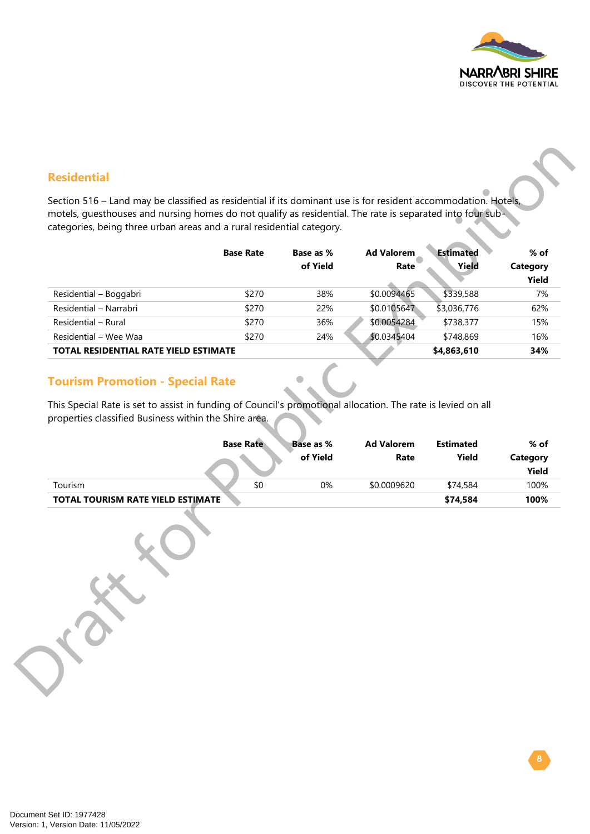

### **Residential**

|                                              | <b>Base Rate</b> | Base as % | <b>Ad Valorem</b> | <b>Estimated</b> | $%$ of   |
|----------------------------------------------|------------------|-----------|-------------------|------------------|----------|
|                                              |                  | of Yield  | Rate              | Yield            | Category |
|                                              |                  |           |                   |                  | Yield    |
| Residential - Boggabri                       | \$270            | 38%       | \$0.0094465       | \$339,588        | 7%       |
| Residential - Narrabri                       | \$270            | 22%       | \$0.0105647       | \$3,036,776      | 62%      |
| Residential - Rural                          | \$270            | 36%       | \$0.0054284       | \$738,377        | 15%      |
| Residential – Wee Waa                        | \$270            | 24%       | \$0.0345404       | \$748,869        | 16%      |
| <b>TOTAL RESIDENTIAL RATE YIELD ESTIMATE</b> |                  |           |                   | \$4,863,610      | 34%      |

### **Tourism Promotion - Special Rate**

|                                                                                                                                                                       | <b>Base Rate</b> | Base as %<br>of Yield | <b>Ad Valorem</b><br>Rate | <b>Estimated</b><br>Yield | $%$ of<br>Category                          |
|-----------------------------------------------------------------------------------------------------------------------------------------------------------------------|------------------|-----------------------|---------------------------|---------------------------|---------------------------------------------|
|                                                                                                                                                                       |                  |                       |                           |                           | Yield                                       |
| Residential - Boggabri                                                                                                                                                | \$270            | 38%                   | \$0.0094465               | \$339,588                 | 7%                                          |
| Residential - Narrabri                                                                                                                                                | \$270            | 22%                   | \$0.0105647               | \$3,036,776               | 62%                                         |
| Residential - Rural                                                                                                                                                   | \$270            | 36%                   | \$0.0054284               | \$738,377                 | 15%                                         |
| Residential - Wee Waa                                                                                                                                                 | \$270            | 24%                   | \$0.0345404               | \$748,869                 | 16%                                         |
| TOTAL RESIDENTIAL RATE YIELD ESTIMATE                                                                                                                                 |                  |                       |                           | \$4,863,610               | 34%                                         |
| This Special Rate is set to assist in funding of Council's promotional allocation. The rate is levied on all<br>properties classified Business within the Shire area. | <b>Base Rate</b> | Base as %             | <b>Ad Valorem</b>         | <b>Estimated</b>          |                                             |
|                                                                                                                                                                       |                  | of Yield              | Rate                      | Yield                     |                                             |
|                                                                                                                                                                       |                  |                       |                           |                           |                                             |
| Tourism                                                                                                                                                               | \$0              | 0%                    | \$0.0009620               | \$74,584                  |                                             |
| <b>TOTAL TOURISM RATE YIELD ESTIMATE</b>                                                                                                                              |                  |                       |                           | \$74,584                  | $%$ of<br>Category<br>Yield<br>100%<br>100% |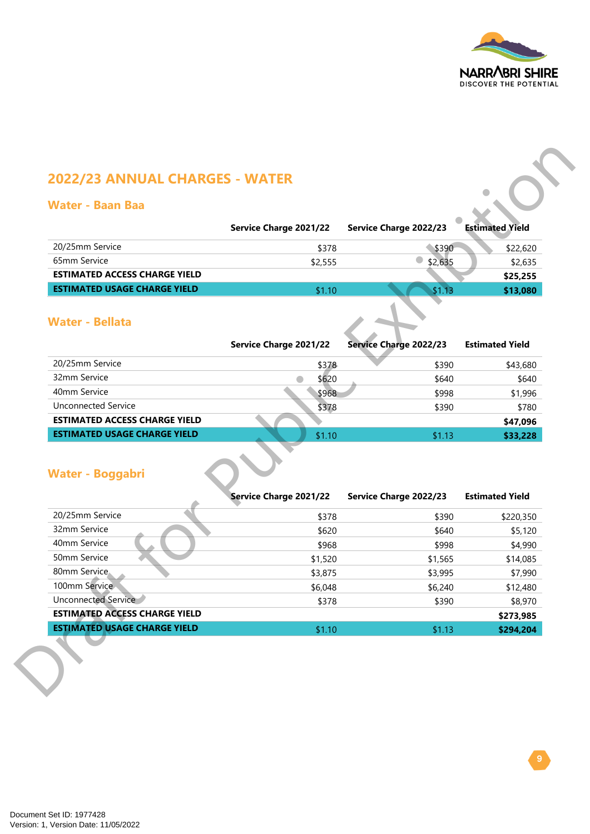

# **2022/23 ANNUAL CHARGES - WATER**

### **Water - Baan Baa**

|                                      | Service Charge 2021/22 | Service Charge 2022/23 | <b>Estimated Yield</b> |
|--------------------------------------|------------------------|------------------------|------------------------|
| 20/25mm Service                      | \$378                  | \$390                  | \$22,620               |
| 65mm Service                         | \$2,555                | \$2,635                | \$2,635                |
| <b>ESTIMATED ACCESS CHARGE YIELD</b> |                        |                        | \$25,255               |
| <b>ESTIMATED USAGE CHARGE YIELD</b>  | \$1.10                 | \$1.13                 | \$13,080               |
|                                      |                        |                        |                        |

### **Water - Bellata**

|                                      | <b>Service Charge 2021/22</b> | Service Charge 2022/23 | <b>Estimated Yield</b> |
|--------------------------------------|-------------------------------|------------------------|------------------------|
| 20/25mm Service                      | \$378                         | \$390                  | \$43,680               |
| 32mm Service                         | \$620                         | \$640                  | \$640                  |
| 40mm Service                         | \$968                         | \$998                  | \$1,996                |
| <b>Unconnected Service</b>           | \$378                         | \$390                  | \$780                  |
| <b>ESTIMATED ACCESS CHARGE YIELD</b> |                               |                        | \$47,096               |
| <b>ESTIMATED USAGE CHARGE YIELD</b>  | \$1.10                        | \$1.13                 | \$33,228               |

### **Water - Boggabri**

|                                                                             | Service Charge 2021/22 | Service Charge 2022/23        | <b>Estimated Yield</b> |
|-----------------------------------------------------------------------------|------------------------|-------------------------------|------------------------|
| 20/25mm Service                                                             | \$378                  | \$390                         | \$22,620               |
| 65mm Service                                                                | \$2,555                | \$2,635                       | \$2,635                |
| <b>ESTIMATED ACCESS CHARGE YIELD</b>                                        |                        |                               | \$25,255               |
| <b>ESTIMATED USAGE CHARGE YIELD</b>                                         | \$1.10                 | \$1.13                        | \$13,080               |
| <b>Water - Bellata</b>                                                      | Service Charge 2021/22 | <b>Service Charge 2022/23</b> | <b>Estimated Yield</b> |
| 20/25mm Service                                                             | \$378                  | \$390                         | \$43,680               |
| 32mm Service                                                                | \$620<br>O             | \$640                         | \$640                  |
| 40mm Service                                                                | \$968                  | \$998                         | \$1,996                |
| <b>Unconnected Service</b>                                                  | \$378                  | \$390                         | \$780                  |
| <b>ESTIMATED ACCESS CHARGE YIELD</b>                                        |                        |                               | \$47,096               |
| <b>ESTIMATED USAGE CHARGE YIELD</b>                                         | \$1.10                 | \$1.13                        | \$33,228               |
|                                                                             |                        |                               |                        |
| <b>Water - Boggabri</b>                                                     | Service Charge 2021/22 | Service Charge 2022/23        | <b>Estimated Yield</b> |
| 20/25mm Service                                                             | \$378                  | \$390                         | \$220,350              |
| 32mm Service                                                                | \$620                  | \$640                         | \$5,120                |
| 40mm Service                                                                | \$968                  | \$998                         | \$4,990                |
| 50mm Service                                                                | \$1,520                | \$1,565                       | \$14,085               |
| 80mm Service                                                                | \$3,875                | \$3,995                       | \$7,990                |
| 100mm Service                                                               | \$6,048                | \$6,240                       |                        |
| Unconnected Service                                                         | \$378                  | \$390                         | \$12,480<br>\$8,970    |
| <b>ESTIMATED ACCESS CHARGE YIELD</b><br><b>ESTIMATED USAGE CHARGE YIELD</b> |                        |                               | \$273,985              |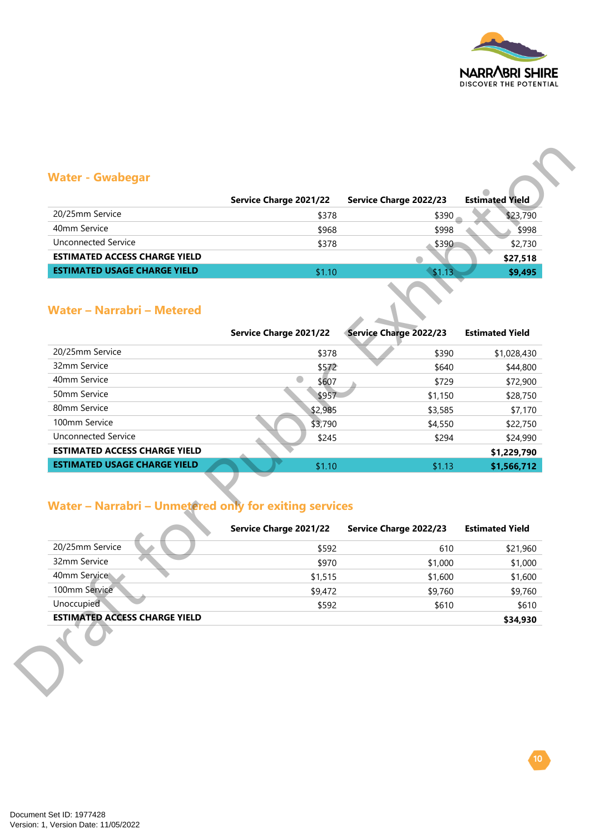

 $10<sup>1</sup>$ 

### **Water - Gwabegar**

|                                      | Service Charge 2021/22 | Service Charge 2022/23 | <b>Estimated Yield</b> |
|--------------------------------------|------------------------|------------------------|------------------------|
| 20/25mm Service                      | \$378                  | \$390                  | \$23,790               |
| 40mm Service                         | \$968                  | \$998                  | \$998                  |
| Unconnected Service                  | \$378                  | \$390                  | \$2,730                |
| <b>ESTIMATED ACCESS CHARGE YIELD</b> |                        |                        | \$27,518               |
| <b>ESTIMATED USAGE CHARGE YIELD</b>  | \$1.10                 | \$1.13                 | \$9,495                |

### **Water – Narrabri – Metered**

|                                                               | Service Charge 2021/22 | Service Charge 2022/23 | <b>Estimated Yield</b> |
|---------------------------------------------------------------|------------------------|------------------------|------------------------|
| 20/25mm Service                                               | \$378                  | \$390                  | \$23,790               |
| 40mm Service                                                  | \$968                  | \$998                  | \$998                  |
| <b>Unconnected Service</b>                                    | \$378                  | \$390                  | \$2,730                |
| <b>ESTIMATED ACCESS CHARGE YIELD</b>                          |                        |                        | \$27,518               |
| <b>ESTIMATED USAGE CHARGE YIELD</b>                           | \$1.10                 | \$1.13                 | \$9,495                |
| <b>Water - Narrabri - Metered</b>                             |                        |                        |                        |
|                                                               | Service Charge 2021/22 | Service Charge 2022/23 | <b>Estimated Yield</b> |
| 20/25mm Service                                               | \$378                  | \$390                  | \$1,028,430            |
| 32mm Service                                                  | \$572                  | \$640                  | \$44,800               |
| 40mm Service                                                  | O<br>\$607             | \$729                  | \$72,900               |
| 50mm Service                                                  | \$957                  | \$1,150                | \$28,750               |
| 80mm Service                                                  | \$2,985                | \$3,585                | \$7,170                |
| 100mm Service                                                 | \$3,790                | \$4,550                | \$22,750               |
| <b>Unconnected Service</b>                                    | \$245                  | \$294                  | \$24,990               |
| <b>ESTIMATED ACCESS CHARGE YIELD</b>                          |                        |                        | \$1,229,790            |
| <b>ESTIMATED USAGE CHARGE YIELD</b>                           | \$1.10                 | \$1.13                 | \$1,566,712            |
| <b>Water - Narrabri - Unmetered only for exiting services</b> | Service Charge 2021/22 | Service Charge 2022/23 | <b>Estimated Yield</b> |
| 20/25mm Service                                               | \$592                  | 610                    | \$21,960               |
| 32mm Service                                                  | \$970                  | \$1,000                | \$1,000                |
| 40mm Service                                                  | \$1,515                | \$1,600                | \$1,600                |
| 100mm Service                                                 | \$9,472                | \$9,760                | \$9,760                |
|                                                               | \$592                  | \$610                  | \$610                  |
| Unoccupied                                                    |                        |                        | \$34,930               |
| <b>ESTIMATED ACCESS CHARGE YIELD</b>                          |                        |                        |                        |

# **Water – Narrabri – Unmetered only for exiting services**

|                                      | <b>Service Charge 2021/22</b> | Service Charge 2022/23 | <b>Estimated Yield</b> |
|--------------------------------------|-------------------------------|------------------------|------------------------|
| 20/25mm Service                      | \$592                         | 610                    | \$21,960               |
| 32mm Service                         | \$970                         | \$1,000                | \$1,000                |
| 40mm Service                         | \$1,515                       | \$1,600                | \$1,600                |
| 100mm Service                        | \$9,472                       | \$9,760                | \$9,760                |
| Unoccupied                           | \$592                         | \$610                  | \$610                  |
| <b>ESTIMATED ACCESS CHARGE YIELD</b> |                               |                        | \$34,930               |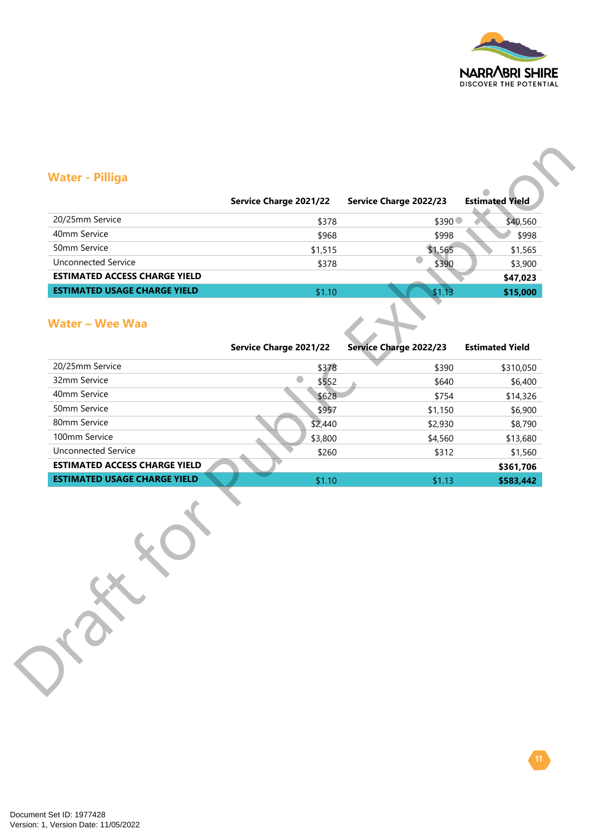

 $\blacksquare$ 

### **Water - Pilliga**

|                                      | <b>Service Charge 2021/22</b> | Service Charge 2022/23 | <b>Estimated Yield</b> |
|--------------------------------------|-------------------------------|------------------------|------------------------|
| 20/25mm Service                      | \$378                         | \$390 €                | \$40,560               |
| 40mm Service                         | \$968                         | \$998                  | \$998                  |
| 50mm Service                         | \$1,515                       | \$1,565                | \$1,565                |
| Unconnected Service                  | \$378                         | \$390                  | \$3,900                |
| <b>ESTIMATED ACCESS CHARGE YIELD</b> |                               |                        | \$47,023               |
| <b>ESTIMATED USAGE CHARGE YIELD</b>  | \$1.10                        | \$1.13                 | \$15,000               |

### **Water – Wee Waa**

|                                      | Service Charge 2021/22 | Service Charge 2022/23        | <b>Estimated Yield</b> |
|--------------------------------------|------------------------|-------------------------------|------------------------|
| 20/25mm Service                      | \$378                  | \$390 €                       | \$40,560               |
| 40mm Service                         | \$968                  | \$998                         | \$998                  |
| 50mm Service                         | \$1,515                | \$1,565                       | \$1,565                |
| <b>Unconnected Service</b>           | \$378                  | \$390                         | \$3,900                |
| <b>ESTIMATED ACCESS CHARGE YIELD</b> |                        |                               | \$47,023               |
| <b>ESTIMATED USAGE CHARGE YIELD</b>  | \$1.10                 | \$1.13                        | \$15,000               |
| <b>Water - Wee Waa</b>               |                        |                               |                        |
|                                      | Service Charge 2021/22 | <b>Service Charge 2022/23</b> | <b>Estimated Yield</b> |
| 20/25mm Service                      | \$378                  | \$390                         | \$310,050              |
| 32mm Service                         | O<br>\$552             | \$640                         | \$6,400                |
| 40mm Service                         | \$628                  | \$754                         | \$14,326               |
| 50mm Service                         | \$957                  | \$1,150                       | \$6,900                |
| 80mm Service                         | \$2,440                | \$2,930                       | \$8,790                |
| 100mm Service                        | \$3,800                | \$4,560                       | \$13,680               |
| <b>Unconnected Service</b>           | \$260                  | \$312                         | \$1,560                |
| <b>ESTIMATED ACCESS CHARGE YIELD</b> |                        |                               | \$361,706              |
| <b>ESTIMATED USAGE CHARGE YIELD</b>  | \$1.10                 | \$1.13                        | \$583,442              |
|                                      |                        |                               |                        |
| ROX                                  |                        |                               |                        |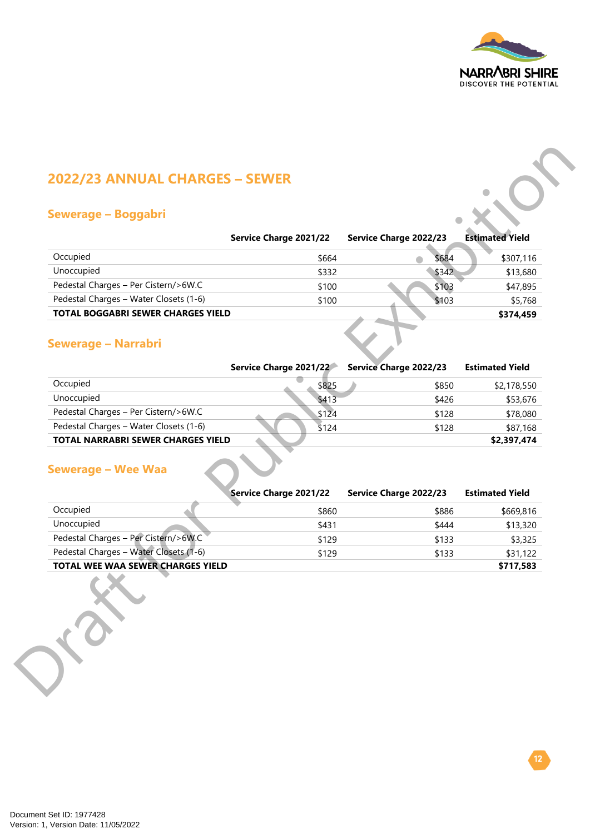

# **2022/23 ANNUAL CHARGES – SEWER**

### **Sewerage – Boggabri**

| Sewerage - Boggabri                                            |                               |                        |                        |
|----------------------------------------------------------------|-------------------------------|------------------------|------------------------|
|                                                                | Service Charge 2021/22        | Service Charge 2022/23 | <b>Estimated Yield</b> |
| Occupied                                                       | \$664                         | \$684                  | \$307,116              |
| Unoccupied                                                     | \$332                         | \$342                  | \$13,680               |
| Pedestal Charges - Per Cistern/>6W.C                           | \$100                         | \$103                  | \$47,895               |
| Pedestal Charges - Water Closets (1-6)                         | \$100                         | \$103                  | \$5,768                |
| <b>TOTAL BOGGABRI SEWER CHARGES YIELD</b>                      |                               |                        | \$374,459              |
| <b>Sewerage - Narrabri</b>                                     | Service Charge 2021/22        | Service Charge 2022/23 | <b>Estimated Yield</b> |
| Occupied                                                       | \$825                         | \$850                  | \$2,178,550            |
| Unoccupied                                                     | \$413                         | \$426                  | \$53,676               |
| Pedestal Charges - Per Cistern/>6W.C                           | \$124                         | \$128                  | \$78,080               |
| Pedestal Charges - Water Closets (1-6)                         | \$124                         | \$128                  | \$87,168               |
| <b>TOTAL NARRABRI SEWER CHARGES YIELD</b>                      |                               |                        | \$2,397,474            |
|                                                                |                               |                        |                        |
|                                                                | <b>Service Charge 2021/22</b> | Service Charge 2022/23 | <b>Estimated Yield</b> |
| Occupied                                                       | \$860                         | \$886                  | \$669,816              |
| Unoccupied                                                     | \$431                         | \$444                  | \$13,320               |
| Pedestal Charges - Per Cistern/>6W.C                           | \$129                         | \$133                  | \$3,325                |
| Pedestal Charges - Water Closets (1-6)                         | \$129                         | \$133                  | \$31,122               |
| <b>Sewerage - Wee Waa</b><br>TOTAL WEE WAA SEWER CHARGES YIELD |                               |                        | \$717,583              |

### **Sewerage – Narrabri**

|                                           | Service Charge 2021/22 | Service Charge 2022/23 | <b>Estimated Yield</b> |
|-------------------------------------------|------------------------|------------------------|------------------------|
| Occupied                                  | \$825                  | \$850                  | \$2,178,550            |
| Unoccupied                                | \$413                  | \$426                  | \$53,676               |
| Pedestal Charges – Per Cistern/>6W.C      | \$124                  | \$128                  | \$78,080               |
| Pedestal Charges - Water Closets (1-6)    | \$124                  | \$128                  | \$87,168               |
| <b>TOTAL NARRABRI SEWER CHARGES YIELD</b> |                        |                        | \$2,397,474            |

### **Sewerage – Wee Waa**

|                                          | Service Charge 2021/22 | Service Charge 2022/23 | <b>Estimated Yield</b> |
|------------------------------------------|------------------------|------------------------|------------------------|
| Occupied                                 | \$860                  | \$886                  | \$669,816              |
| Unoccupied                               | \$431                  | \$444                  | \$13,320               |
| Pedestal Charges - Per Cistern/>6W.C     | \$129                  | \$133                  | \$3,325                |
| Pedestal Charges - Water Closets (1-6)   | \$129                  | \$133                  | \$31,122               |
| <b>TOTAL WEE WAA SEWER CHARGES YIELD</b> |                        |                        | \$717,583              |